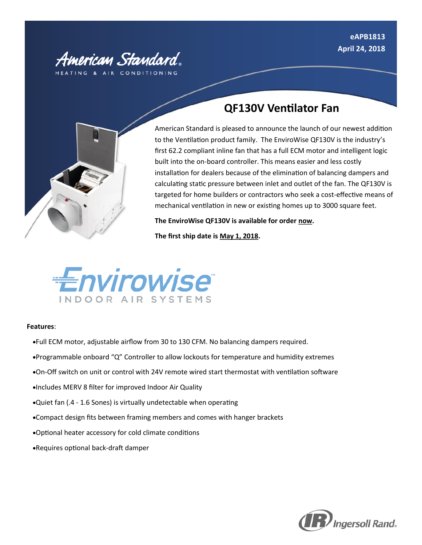

## **QF130V Ventilator Fan**



American Standard is pleased to announce the launch of our newest addition to the Ventilation product family. The EnviroWise QF130V is the industry's first 62.2 compliant inline fan that has a full ECM motor and intelligent logic built into the on-board controller. This means easier and less costly installation for dealers because of the elimination of balancing dampers and calculating static pressure between inlet and outlet of the fan. The QF130V is targeted for home builders or contractors who seek a cost-effective means of mechanical ventilation in new or existing homes up to 3000 square feet.

**The EnviroWise QF130V is available for order now.** 

**The first ship date is May 1, 2018.**



### **Features**:

- Full ECM motor, adjustable airflow from 30 to 130 CFM. No balancing dampers required.
- Programmable onboard "Q" Controller to allow lockouts for temperature and humidity extremes
- On-Off switch on unit or control with 24V remote wired start thermostat with ventilation software
- Includes MERV 8 filter for improved Indoor Air Quality
- Quiet fan (.4 1.6 Sones) is virtually undetectable when operating
- Compact design fits between framing members and comes with hanger brackets
- Optional heater accessory for cold climate conditions
- Requires optional back-draft damper